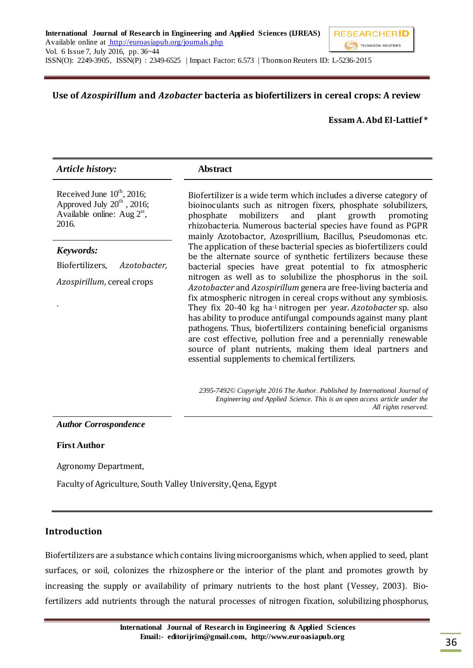### **Use of** *Azospirillum* **and** *Azobacter* **bacteria as biofertilizers in cereal crops: A review**

#### **Essam A. Abd El-Lattief \***

| <b>Article history:</b>                                                                                      | <b>Abstract</b>                                                                                                                                                                                                                                                                                                                                                                                                                                                                                                                                                                                                                                           |
|--------------------------------------------------------------------------------------------------------------|-----------------------------------------------------------------------------------------------------------------------------------------------------------------------------------------------------------------------------------------------------------------------------------------------------------------------------------------------------------------------------------------------------------------------------------------------------------------------------------------------------------------------------------------------------------------------------------------------------------------------------------------------------------|
| Received June $10^{th}$ , 2016;<br>Approved July $20^{th}$ , 2016;<br>Available online: Aug $2st$ ,<br>2016. | Biofertilizer is a wide term which includes a diverse category of<br>bioinoculants such as nitrogen fixers, phosphate solubilizers,<br>mobilizers and plant growth promoting<br>phosphate<br>rhizobacteria. Numerous bacterial species have found as PGPR<br>mainly Azotobactor, Azosprillium, Bacillus, Pseudomonas etc.                                                                                                                                                                                                                                                                                                                                 |
| Keywords:                                                                                                    | The application of these bacterial species as biofertilizers could<br>be the alternate source of synthetic fertilizers because these                                                                                                                                                                                                                                                                                                                                                                                                                                                                                                                      |
| Biofertilizers,<br>Azotobacter,                                                                              | bacterial species have great potential to fix atmospheric<br>nitrogen as well as to solubilize the phosphorus in the soil.<br>Azotobacter and Azospirillum genera are free-living bacteria and<br>fix atmospheric nitrogen in cereal crops without any symbiosis.<br>They fix 20-40 kg ha-1 nitrogen per year. Azotobacter sp. also<br>has ability to produce antifungal compounds against many plant<br>pathogens. Thus, biofertilizers containing beneficial organisms<br>are cost effective, pollution free and a perennially renewable<br>source of plant nutrients, making them ideal partners and<br>essential supplements to chemical fertilizers. |
| <i>Azospirillum</i> , cereal crops                                                                           |                                                                                                                                                                                                                                                                                                                                                                                                                                                                                                                                                                                                                                                           |
|                                                                                                              | 2395-7492© Copyright 2016 The Author. Published by International Journal of<br>Engineering and Applied Science. This is an open access article under the                                                                                                                                                                                                                                                                                                                                                                                                                                                                                                  |

*All rights reserved.*

#### *Author Corrospondence*

#### **First Author**

Agronomy Department,

Faculty of Agriculture, South Valley University, Qena, Egypt

#### **Introduction**

Biofertilizers are a substance which contains living microorganisms which, when applied to seed, plant surfaces, or soil, colonizes the [rhizosphere](http://en.wikipedia.org/wiki/Rhizosphere) or the interior of the plant and promotes growth by increasing the supply or availability of primary nutrients to the host plant (Vessey, 2003). Biofertilizers add nutrients through the natural processes of nitrogen fixation, solubilizing [phosphorus,](http://en.wikipedia.org/wiki/Phosphorus)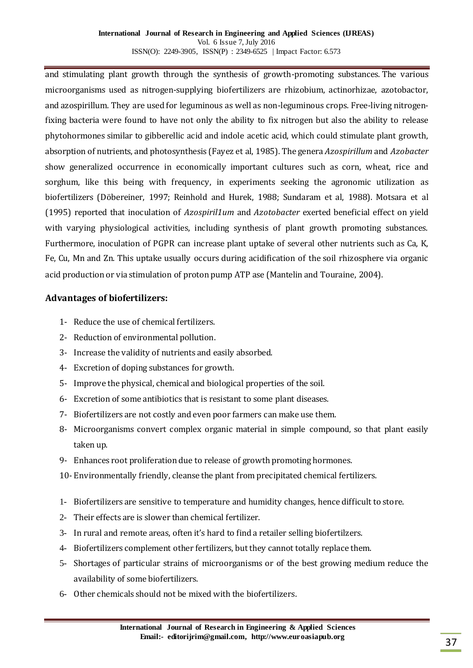and stimulating plant growth through the synthesis of growth-promoting substances. The various microorganisms used as nitrogen-supplying biofertilizers are rhizobium, actinorhizae, azotobactor, and azospirillum. They are used for leguminous as well as non-leguminous crops. Free-living nitrogenfixing bacteria were found to have not only the ability to fix nitrogen but also the ability to release phytohormones similar to gibberellic acid and indole acetic acid, which could stimulate plant growth, absorption of nutrients, and photosynthesis (Fayez et al, 1985). The genera *Azospirillum* and *Azobacter*  show generalized occurrence in economically important cultures such as corn, wheat, rice and sorghum, like this being with frequency, in experiments seeking the agronomic utilization as biofertilizers (Döbereiner, 1997; Reinhold and Hurek, 1988; Sundaram et al, 1988). Motsara et al (1995) reported that inoculation of *Azospiril1um* and *Azotobacter* exerted beneficial effect on yield with varying physiological activities, including synthesis of plant growth promoting substances. Furthermore, inoculation of PGPR can increase plant uptake of several other nutrients such as Ca, K, Fe, Cu, Mn and Zn. This uptake usually occurs during acidification of the soil rhizosphere via organic acid production or via stimulation of proton pump ATP ase (Mantelin and Touraine, 2004).

### **Advantages of biofertilizers:**

- 1- Reduce the use of chemical fertilizers.
- 2- Reduction of environmental pollution.
- 3- Increase the validity of nutrients and easily absorbed.
- 4- Excretion of doping substances for growth.
- 5- Improve the physical, chemical and biological properties of the soil.
- 6- Excretion of some antibiotics that is resistant to some plant diseases.
- 7- Biofertilizers are not costly and even poor farmers can make use them.
- 8- Microorganisms convert complex organic material in simple compound, so that plant easily taken up.
- 9- Enhances root proliferation due to release of growth promoting hormones.
- 10- Environmentally friendly, cleanse the plant from precipitated chemical fertilizers.
- 1- Biofertilizers are sensitive to temperature and humidity changes, hence difficult to store.
- 2- Their effects are is slower than chemical fertilizer.
- 3- In rural and remote areas, often it's hard to find a retailer selling biofertilzers.
- 4- Biofertilizers complement other fertilizers, but they cannot totally replace them.
- 5- Shortages of particular strains of microorganisms or of the best growing medium reduce the availability of some biofertilizers.
- 6- Other chemicals should not be mixed with the biofertilizers.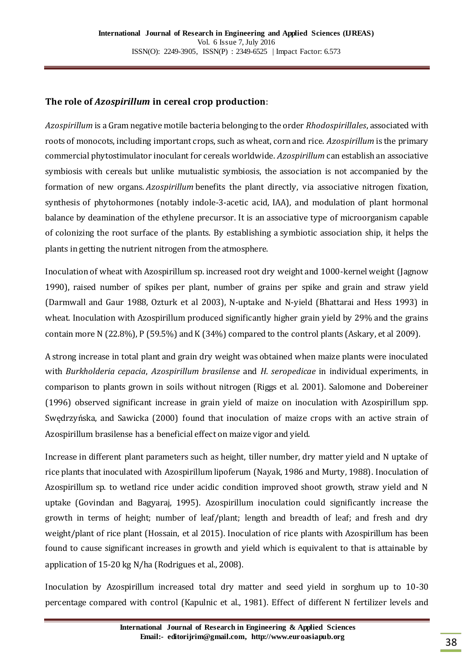### **The role of** *Azospirillum* **in cereal crop production**:

*Azospirillum* is a Gram negative motile bacteria belonging to the order *Rhodospirillales*, associated with roots of monocots, including important crops, such as wheat, corn and rice. *Azospirillum* is the primary commercial phytostimulator inoculant for cereals worldwide. *Azospirillum* can establish an associative symbiosis with cereals but unlike mutualistic symbiosis, the association is not accompanied by the formation of new organs. *Azospirillum* benefits the plant directly, via associative nitrogen fixation, synthesis of phytohormones (notably indole-3-acetic acid, IAA), and modulation of plant hormonal balance by deamination of the ethylene precursor. It is an associative type of microorganism capable of colonizing the root surface of the plants. By establishing a symbiotic association ship, it helps the plants in getting the nutrient nitrogen from the atmosphere.

Inoculation of wheat with Azospirillum sp. increased root dry weight and 1000-kernel weight (Jagnow 1990), raised number of spikes per plant, number of grains per spike and grain and straw yield (Darmwall and Gaur 1988, Ozturk et al 2003), N-uptake and N-yield (Bhattarai and Hess 1993) in wheat. Inoculation with Azospirillum produced significantly higher grain yield by 29% and the grains contain more N (22.8%), P (59.5%) and K (34%) compared to the control plants (Askary, et al 2009).

A strong increase in total plant and grain dry weight was obtained when maize plants were inoculated with *Burkholderia cepacia*, *Azospirillum brasilense* and *H. seropedicae* in individual experiments, in comparison to plants grown in soils without nitrogen (Riggs et al. 2001). Salomone and Dobereiner (1996) observed significant increase in grain yield of maize on inoculation with Azospirillum spp. Swędrzyńska, and Sawicka (2000) found that inoculation of maize crops with an active strain of Azospirillum brasilense has a beneficial effect on maize vigor and yield.

Increase in different plant parameters such as height, tiller number, dry matter yield and N uptake of rice plants that inoculated with Azospirillum lipoferum (Nayak, 1986 and Murty, 1988). Inoculation of Azospirillum sp. to wetland rice under acidic condition improved shoot growth, straw yield and N uptake (Govindan and Bagyaraj, 1995). Azospirillum inoculation could significantly increase the growth in terms of height; number of leaf/plant; length and breadth of leaf; and fresh and dry weight/plant of rice plant (Hossain, et al 2015). Inoculation of rice plants with Azospirillum has been found to cause significant increases in growth and yield which is equivalent to that is attainable by application of 15-20 kg N/ha (Rodrigues et al., 2008).

Inoculation by Azospirillum increased total dry matter and seed yield in sorghum up to 10-30 percentage compared with control (Kapulnic et al., 1981). Effect of different N fertilizer levels and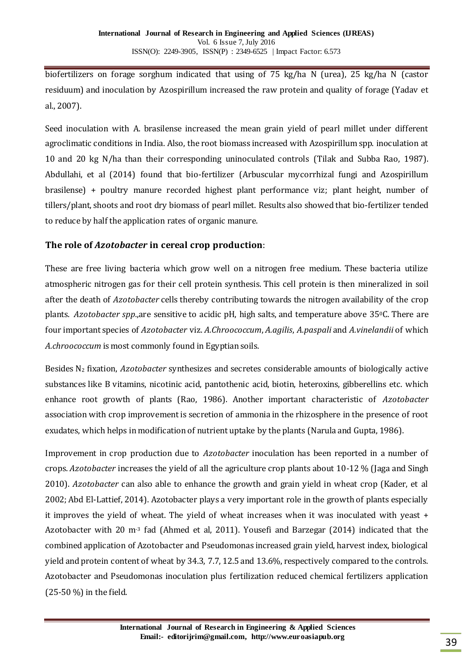biofertilizers on forage sorghum indicated that using of 75 kg/ha N (urea), 25 kg/ha N (castor residuum) and inoculation by Azospirillum increased the raw protein and quality of forage (Yadav et al., 2007).

Seed inoculation with A. brasilense increased the mean grain yield of pearl millet under different agroclimatic conditions in India. Also, the root biomass increased with Azospirillum spp. inoculation at 10 and 20 kg N/ha than their corresponding uninoculated controls (Tilak and Subba Rao, 1987). Abdullahi, et al (2014) found that bio-fertilizer (Arbuscular mycorrhizal fungi and Azospirillum brasilense) + poultry manure recorded highest plant performance viz; plant height, number of tillers/plant, shoots and root dry biomass of pearl millet. Results also showed that bio-fertilizer tended to reduce by half the application rates of organic manure.

## **The role of** *Azotobacter* **in cereal crop production**:

These are free living bacteria which grow well on a nitrogen free medium. These bacteria utilize atmospheric nitrogen gas for their cell protein synthesis. This cell protein is then mineralized in soil after the death of *Azotobacter* cells thereby contributing towards the nitrogen availability of the crop plants. *Azotobacter spp*.,are sensitive to acidic pH, high salts, and temperature above 350C. There are four important species of *Azotobacter* viz. *A.Chroococcum*, *A.agilis*, *A.paspali* and *A.vinelandii* of which *A.chroococcum* is most commonly found in Egyptian soils.

Besides N<sup>2</sup> fixation, *Azotobacter* synthesizes and secretes considerable amounts of biologically active substances like B vitamins, nicotinic acid, pantothenic acid, biotin, heteroxins, gibberellins etc. which enhance root growth of plants (Rao, 1986). Another important characteristic of *Azotobacter* association with crop improvement is secretion of ammonia in the rhizosphere in the presence of root exudates, which helps in modification of nutrient uptake by the plants (Narula and Gupta, 1986).

Improvement in crop production due to *Azotobacter* inoculation has been reported in a number of crops. *Azotobacter* increases the yield of all the agriculture crop plants about 10-12 % (Jaga and Singh 2010). *Azotobacter* can also able to enhance the growth and grain yield in wheat crop (Kader, et al 2002; Abd El-Lattief, 2014). Azotobacter plays a very important role in the growth of plants especially it improves the yield of wheat. The yield of wheat increases when it was inoculated with yeast + Azotobacter with 20 m-3 fad (Ahmed et al, 2011). Yousefi and Barzegar (2014) indicated that the combined application of Azotobacter and Pseudomonas increased grain yield, harvest index, biological yield and protein content of wheat by 34.3, 7.7, 12.5 and 13.6%, respectively compared to the controls. Azotobacter and Pseudomonas inoculation plus fertilization reduced chemical fertilizers application (25-50 %) in the field.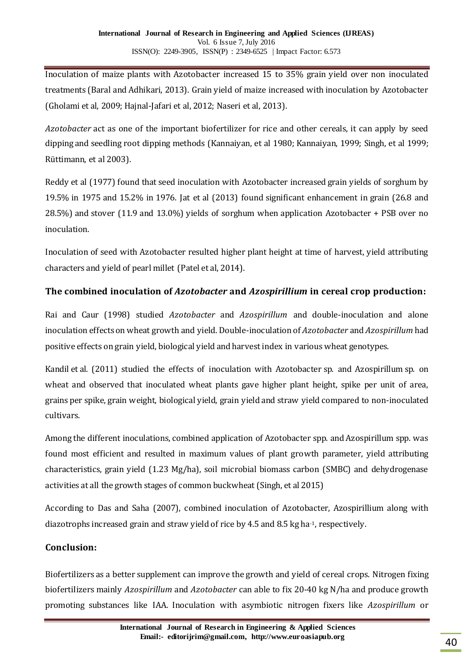Inoculation of maize plants with Azotobacter increased 15 to 35% grain yield over non inoculated treatments (Baral and Adhikari, 2013). Grain yield of maize increased with inoculation by Azotobacter (Gholami et al, 2009; Hajnal-Jafari et al, 2012; Naseri et al, 2013).

*Azotobacter* act as one of the important biofertilizer for rice and other cereals, it can apply by seed dipping and seedling root dipping methods (Kannaiyan, et al 1980; Kannaiyan, 1999; Singh, et al 1999; Rüttimann, et al 2003).

Reddy et al (1977) found that seed inoculation with Azotobacter increased grain yields of sorghum by 19.5% in 1975 and 15.2% in 1976. Jat et al (2013) found significant enhancement in grain (26.8 and 28.5%) and stover (11.9 and 13.0%) yields of sorghum when application Azotobacter + PSB over no inoculation.

Inoculation of seed with Azotobacter resulted higher plant height at time of harvest, yield attributing characters and yield of pearl millet (Patel et al, 2014).

# **The combined inoculation of** *Azotobacter* **and** *Azospirillium* **in cereal crop production:**

Rai and Caur (1998) studied *Azotobacter* and *Azospirillum* and double-inoculation and alone inoculation effects on wheat growth and yield. Double-inoculation of *Azotobacter* and *Azospirillum* had positive effects on grain yield, biological yield and harvest index in various wheat genotypes.

Kandil et al. (2011) studied the effects of inoculation with Azotobacter sp. and Azospirillum sp. on wheat and observed that inoculated wheat plants gave higher plant height, spike per unit of area, grains per spike, grain weight, biological yield, grain yield and straw yield compared to non-inoculated cultivars.

Among the different inoculations, combined application of Azotobacter spp. and Azospirillum spp. was found most efficient and resulted in maximum values of plant growth parameter, yield attributing characteristics, grain yield (1.23 Mg/ha), soil microbial biomass carbon (SMBC) and dehydrogenase activities at all the growth stages of common buckwheat (Singh, et al 2015)

According to Das and Saha (2007), combined inoculation of Azotobacter, Azospirillium along with diazotrophs increased grain and straw yield of rice by 4.5 and 8.5 kg ha-1, respectively.

## **Conclusion:**

Biofertilizers as a better supplement can improve the growth and yield of cereal crops. Nitrogen fixing biofertiIizers mainly *Azospirillum* and *Azotobacter* can able to fix 20-40 kg N/ha and produce growth promoting substances like IAA. Inoculation with asymbiotic nitrogen fixers like *Azospirillum* or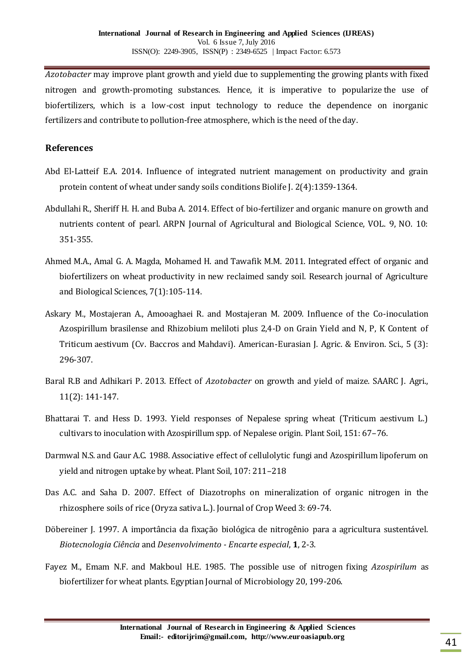*Azotobacter* may improve plant growth and yield due to supplementing the growing plants with fixed nitrogen and growth-promoting substances. Hence, it is imperative to popularize the use of biofertilizers, which is a low-cost input technology to reduce the dependence on inorganic fertilizers and contribute to pollution-free atmosphere, which is the need of the day.

#### **References**

- Abd El-Latteif E.A. 2014. Influence of integrated nutrient management on productivity and grain protein content of wheat under sandy soils conditions Biolife J. 2(4):1359-1364.
- Abdullahi R., Sheriff H. H. and Buba A. 2014. Effect of bio-fertilizer and organic manure on growth and nutrients content of pearl. ARPN Journal of Agricultural and Biological Science, VOL. 9, NO. 10: 351-355.
- Ahmed M.A., Amal G. A. Magda, Mohamed H. and Tawafik M.M. 2011. Integrated effect of organic and biofertilizers on wheat productivity in new reclaimed sandy soil. Research journal of Agriculture and Biological Sciences, 7(1):105-114.
- Askary M., Mostajeran A., Amooaghaei R. and Mostajeran M. 2009. Influence of the Co-inoculation Azospirillum brasilense and Rhizobium meliloti plus 2,4-D on Grain Yield and N, P, K Content of Triticum aestivum (Cv. Baccros and Mahdavi). American-Eurasian J. Agric. & Environ. Sci., 5 (3): 296-307.
- Baral R.B and Adhikari P. 2013. Effect of *Azotobacter* on growth and yield of maize. SAARC J. Agri., 11(2): 141-147.
- Bhattarai T. and Hess D. 1993. Yield responses of Nepalese spring wheat (Triticum aestivum L.) cultivars to inoculation with Azospirillum spp. of Nepalese origin. Plant Soil, 151: 67–76.
- Darmwal N.S. and Gaur A.C. 1988. Associative effect of cellulolytic fungi and Azospirillum lipoferum on yield and nitrogen uptake by wheat. Plant Soil, 107: 211–218
- Das A.C. and Saha D. 2007. Effect of Diazotrophs on mineralization of organic nitrogen in the rhizosphere soils of rice (Oryza sativa L.). Journal of Crop Weed 3: 69-74.
- Döbereiner J. 1997. A importância da fixação biológica de nitrogênio para a agricultura sustentável. *Biotecnologia Ciência* and *Desenvolvimento - Encarte especial*, **1**, 2-3.
- Fayez M., Emam N.F. and Makboul H.E. 1985. The possible use of nitrogen fixing *Azospirilum* as biofertilizer for wheat plants. Egyptian Journal of Microbiology 20, 199-206.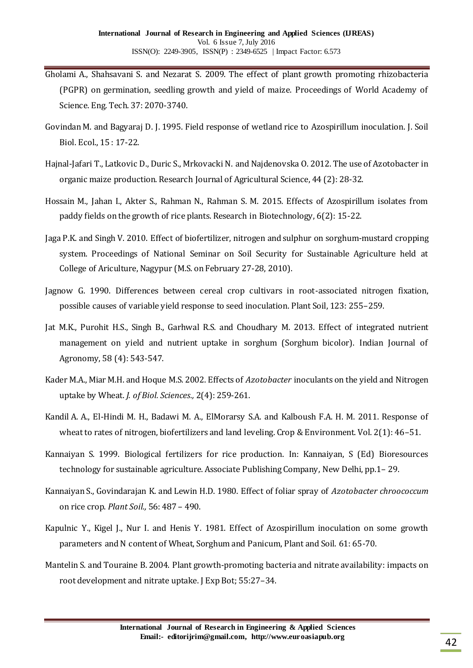- Gholami A., Shahsavani S. and Nezarat S. 2009. The effect of plant growth promoting rhizobacteria (PGPR) on germination, seedling growth and yield of maize. Proceedings of World Academy of Science. Eng. Tech. 37: 2070-3740.
- Govindan M. and Bagyaraj D. J. 1995. Field response of wetland rice to Azospirillum inoculation. J. Soil Biol. Ecol., 15 : 17-22.
- Hajnal-Jafari T., Latkovic D., Duric S., Mrkovacki N. and Najdenovska O. 2012. The use of Azotobacter in organic maize production. Research Journal of Agricultural Science, 44 (2): 28-32.
- Hossain M., Jahan I., Akter S., Rahman N., Rahman S. M. 2015. Effects of Azospirillum isolates from paddy fields on the growth of rice plants. Research in Biotechnology, 6(2): 15-22.
- Jaga P.K. and Singh V. 2010. Effect of biofertilizer, nitrogen and sulphur on sorghum-mustard cropping system. Proceedings of National Seminar on Soil Security for Sustainable Agriculture held at College of Ariculture, Nagypur (M.S. on February 27-28, 2010).
- Jagnow G. 1990. Differences between cereal crop cultivars in root-associated nitrogen fixation, possible causes of variable yield response to seed inoculation. Plant Soil, 123: 255–259.
- Jat M.K., Purohit H.S., Singh B., Garhwal R.S. and Choudhary M. 2013. Effect of integrated nutrient management on yield and nutrient uptake in sorghum (Sorghum bicolor). Indian Journal of Agronomy, 58 (4): 543-547.
- Kader M.A., Miar M.H. and Hoque M.S. 2002. Effects of *Azotobacter* inoculants on the yield and Nitrogen uptake by Wheat. *J. of Biol. Sciences.,* 2(4): 259-261.
- Kandil A. A., El-Hindi M. H., Badawi M. A., ElMorarsy S.A. and Kalboush F.A. H. M. 2011. Response of wheat to rates of nitrogen, biofertilizers and land leveling. Crop & Environment. Vol. 2(1): 46–51.
- Kannaiyan S. 1999. Biological fertilizers for rice production. In: Kannaiyan, S (Ed) Bioresources technology for sustainable agriculture. Associate Publishing Company, New Delhi, pp.1– 29.
- Kannaiyan S., Govindarajan K. and Lewin H.D. 1980. Effect of foliar spray of *Azotobacter chroococcum*  on rice crop. *Plant Soil.,* 56: 487 – 490.
- Kapulnic Y., Kigel J., Nur I. and Henis Y. 1981. Effect of Azospirillum inoculation on some growth parameters and N content of Wheat, Sorghum and Panicum, Plant and Soil. 61: 65-70.
- Mantelin S. and Touraine B. 2004. Plant growth-promoting bacteria and nitrate availability: impacts on root development and nitrate uptake. J Exp Bot; 55:27–34.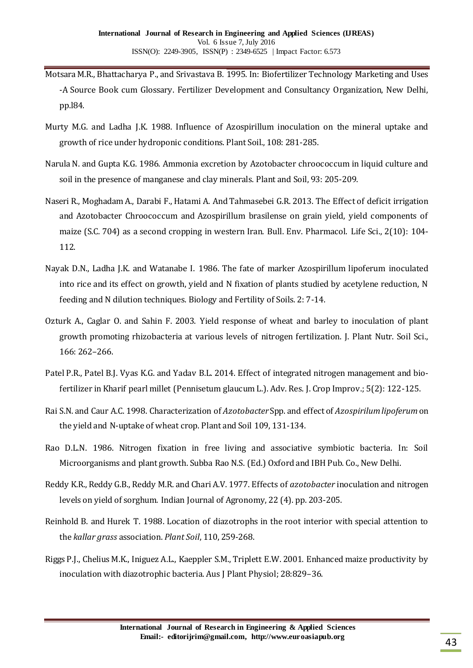- Motsara M.R., Bhattacharya P., and Srivastava B. 1995. In: Biofertilizer Technology Marketing and Uses -A Source Book cum Glossary. Fertilizer Development and Consultancy Organization, New Delhi, pp.l84.
- Murty M.G. and Ladha J.K. 1988. Influence of Azospirillum inoculation on the mineral uptake and growth of rice under hydroponic conditions. Plant Soil., 108: 281-285.
- Narula N. and Gupta K.G. 1986. Ammonia excretion by Azotobacter chroococcum in liquid culture and soil in the presence of manganese and clay minerals. Plant and Soil, 93: 205-209.
- Naseri R., Moghadam A., Darabi F., Hatami A. And Tahmasebei G.R. 2013. The Effect of deficit irrigation and Azotobacter Chroococcum and Azospirillum brasilense on grain yield, yield components of maize (S.C. 704) as a second cropping in western Iran. Bull. Env. Pharmacol. Life Sci., 2(10): 104- 112.
- Nayak D.N., Ladha J.K. and Watanabe I. 1986. The fate of marker Azospirillum lipoferum inoculated into rice and its effect on growth, yield and N fixation of plants studied by acetylene reduction, N feeding and N dilution techniques. Biology and Fertility of Soils. 2: 7-14.
- Ozturk A., Caglar O. and Sahin F. 2003. Yield response of wheat and barley to inoculation of plant growth promoting rhizobacteria at various levels of nitrogen fertilization. J. Plant Nutr. Soil Sci., 166: 262–266.
- Patel P.R., Patel B.J. Vyas K.G. and Yadav B.L. 2014. Effect of integrated nitrogen management and biofertilizer in Kharif pearl millet (Pennisetum glaucum L.). Adv. Res. J. Crop Improv.; 5(2): 122-125.
- Rai S.N. and Caur A.C. 1998. Characterization of *Azotobacter* Spp. and effect of *Azospirilum lipoferum* on the yield and N-uptake of wheat crop. Plant and Soil 109, 131-134.
- Rao D.L.N. 1986. Nitrogen fixation in free living and associative symbiotic bacteria. In: Soil Microorganisms and plant growth. Subba Rao N.S. (Ed.) Oxford and IBH Pub. Co., New Delhi.
- Reddy K.R., Reddy G.B., Reddy M.R. and Chari A.V. 1977. Effects of *azotobacter* inoculation and nitrogen levels on yield of sorghum*.* Indian Journal of Agronomy, 22 (4). pp. 203-205.
- Reinhold B. and Hurek T. 1988. Location of diazotrophs in the root interior with special attention to the *kallar grass* association. *Plant Soil*, 110, 259-268.
- Riggs P.J., Chelius M.K., Iniguez A.L., Kaeppler S.M., Triplett E.W. 2001. Enhanced maize productivity by inoculation with diazotrophic bacteria. Aus J Plant Physiol; 28:829–36.